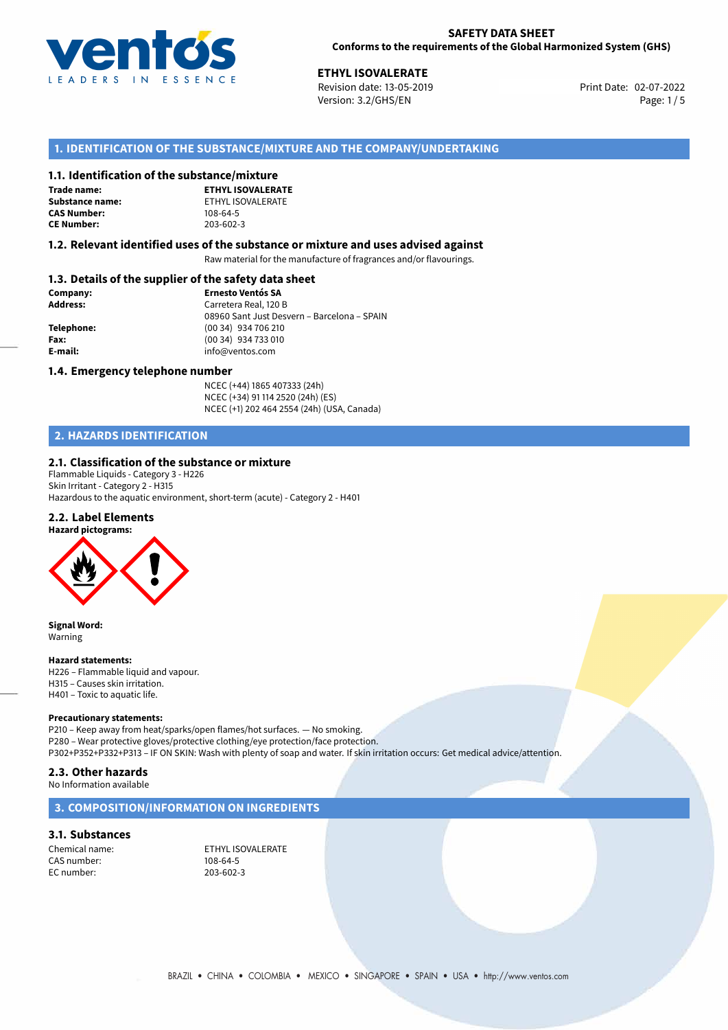

02-07-2022 **ETHYL ISOVALERATE** Revision date: 13-05-2019 Print Date: Version: 3.2/GHS/EN Page: 1/5

# **1. IDENTIFICATION OF THE SUBSTANCE/MIXTURE AND THE COMPANY/UNDERTAKING**

## **1.1. Identification of the substance/mixture**

**Trade name: CAS Number: CE Number:** 203-602-3

**ETHYL ISOVALERATE Substance name:** ETHYL ISOVALERATE<br> **CAS Number:** 108-64-5

## **1.2. Relevant identified uses of the substance or mixture and uses advised against**

Raw material for the manufacture of fragrances and/or flavourings.

# **1.3. Details of the supplier of the safety data sheet**

| Company:        | <b>Ernesto Ventós SA</b>                    |  |
|-----------------|---------------------------------------------|--|
| <b>Address:</b> | Carretera Real, 120 B                       |  |
|                 | 08960 Sant Just Desvern - Barcelona - SPAIN |  |
| Telephone:      | (00 34) 934 706 210                         |  |
| Fax:            | (00 34) 934 733 010                         |  |
| E-mail:         | info@ventos.com                             |  |
|                 |                                             |  |

## **1.4. Emergency telephone number**

NCEC (+44) 1865 407333 (24h) NCEC (+34) 91 114 2520 (24h) (ES) NCEC (+1) 202 464 2554 (24h) (USA, Canada)

# **2. HAZARDS IDENTIFICATION**

## **2.1. Classification of the substance or mixture**

Flammable Liquids - Category 3 - H226 Skin Irritant - Category 2 - H315 Hazardous to the aquatic environment, short-term (acute) - Category 2 - H401

# **2.2. Label Elements**

**Hazard pictograms:**



**Signal Word:** Warning

### **Hazard statements:**

H226 – Flammable liquid and vapour. H315 – Causes skin irritation. H401 – Toxic to aquatic life.

### **Precautionary statements:**

P210 – Keep away from heat/sparks/open flames/hot surfaces. — No smoking. P280 – Wear protective gloves/protective clothing/eye protection/face protection. P302+P352+P332+P313 – IF ON SKIN: Wash with plenty of soap and water. If skin irritation occurs: Get medical advice/attention.

## **2.3. Other hazards**

No Information available

# **3. COMPOSITION/INFORMATION ON INGREDIENTS**

# **3.1. Substances**

CAS number: EC number: 203-602-3

Chemical name: ETHYL ISOVALERATE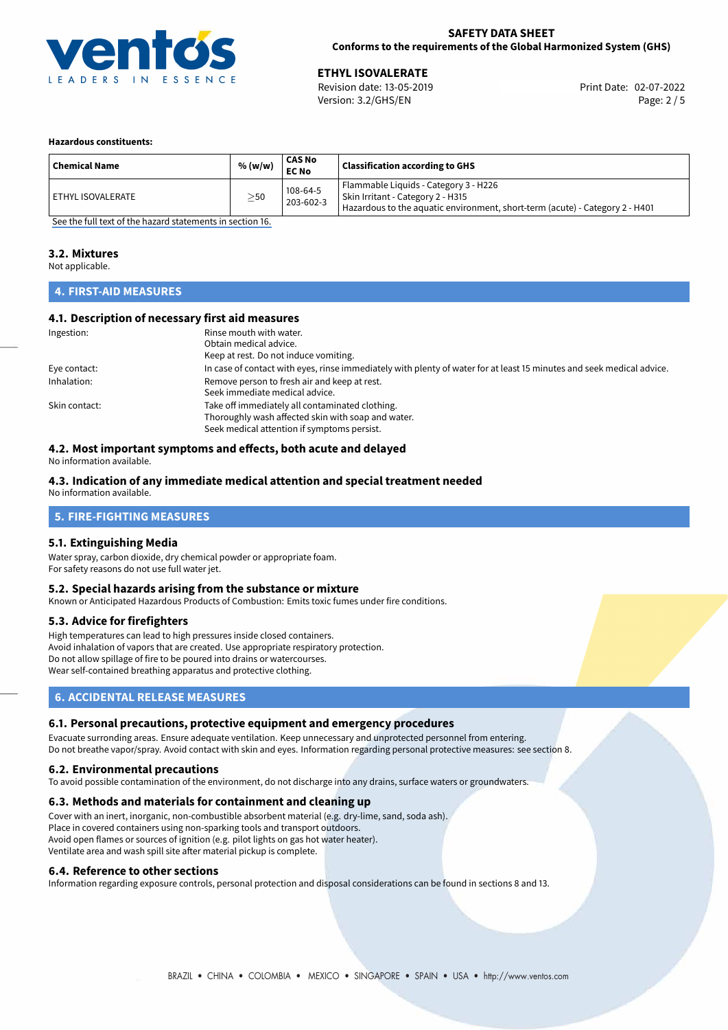

02-07-2022 **ETHYL ISOVALERATE** Revision date: 13-05-2019 Print Date: Version: 3.2/GHS/EN Page: 2 / 5

## **Hazardous constituents:**

| <b>Chemical Name</b>     | % (w/w)   | <b>CAS No</b><br><b>EC No</b> | <b>Classification according to GHS</b>                                                                                                                     |
|--------------------------|-----------|-------------------------------|------------------------------------------------------------------------------------------------------------------------------------------------------------|
| <b>ETHYL ISOVALERATE</b> | $\geq$ 50 | 108-64-5<br>203-602-3         | Flammable Liquids - Category 3 - H226<br>Skin Irritant - Category 2 - H315<br>Hazardous to the aquatic environment, short-term (acute) - Category 2 - H401 |

[See the full text of the hazard statements in section 16.](#page-4-0)

# **3.2. Mixtures**

Not applicable.

# **4. FIRST-AID MEASURES**

# **4.1. Description of necessary first aid measures**

| Ingestion:    | Rinse mouth with water.                                                                                               |
|---------------|-----------------------------------------------------------------------------------------------------------------------|
|               | Obtain medical advice.                                                                                                |
|               | Keep at rest. Do not induce vomiting.                                                                                 |
| Eye contact:  | In case of contact with eyes, rinse immediately with plenty of water for at least 15 minutes and seek medical advice. |
| Inhalation:   | Remove person to fresh air and keep at rest.                                                                          |
|               | Seek immediate medical advice.                                                                                        |
| Skin contact: | Take off immediately all contaminated clothing.                                                                       |
|               | Thoroughly wash affected skin with soap and water.                                                                    |
|               | Seek medical attention if symptoms persist.                                                                           |

# **4.2. Most important symptoms and effects, both acute and delayed**

No information available.

# **4.3. Indication of any immediate medical attention and special treatment needed**

No information available.

# **5. FIRE-FIGHTING MEASURES**

# **5.1. Extinguishing Media**

Water spray, carbon dioxide, dry chemical powder or appropriate foam. For safety reasons do not use full water jet.

# **5.2. Special hazards arising from the substance or mixture**

Known or Anticipated Hazardous Products of Combustion: Emits toxic fumes under fire conditions.

## **5.3. Advice for firefighters**

High temperatures can lead to high pressures inside closed containers. Avoid inhalation of vapors that are created. Use appropriate respiratory protection. Do not allow spillage of fire to be poured into drains or watercourses. Wear self-contained breathing apparatus and protective clothing.

# **6. ACCIDENTAL RELEASE MEASURES**

## **6.1. Personal precautions, protective equipment and emergency procedures**

Evacuate surronding areas. Ensure adequate ventilation. Keep unnecessary and unprotected personnel from entering. Do not breathe vapor/spray. Avoid contact with skin and eyes. Information regarding personal protective measures: see section 8.

## **6.2. Environmental precautions**

To avoid possible contamination of the environment, do not discharge into any drains, surface waters or groundwaters.

## **6.3. Methods and materials for containment and cleaning up**

Cover with an inert, inorganic, non-combustible absorbent material (e.g. dry-lime, sand, soda ash). Place in covered containers using non-sparking tools and transport outdoors. Avoid open flames or sources of ignition (e.g. pilot lights on gas hot water heater). Ventilate area and wash spill site after material pickup is complete.

## **6.4. Reference to other sections**

Information regarding exposure controls, personal protection and disposal considerations can be found in sections 8 and 13.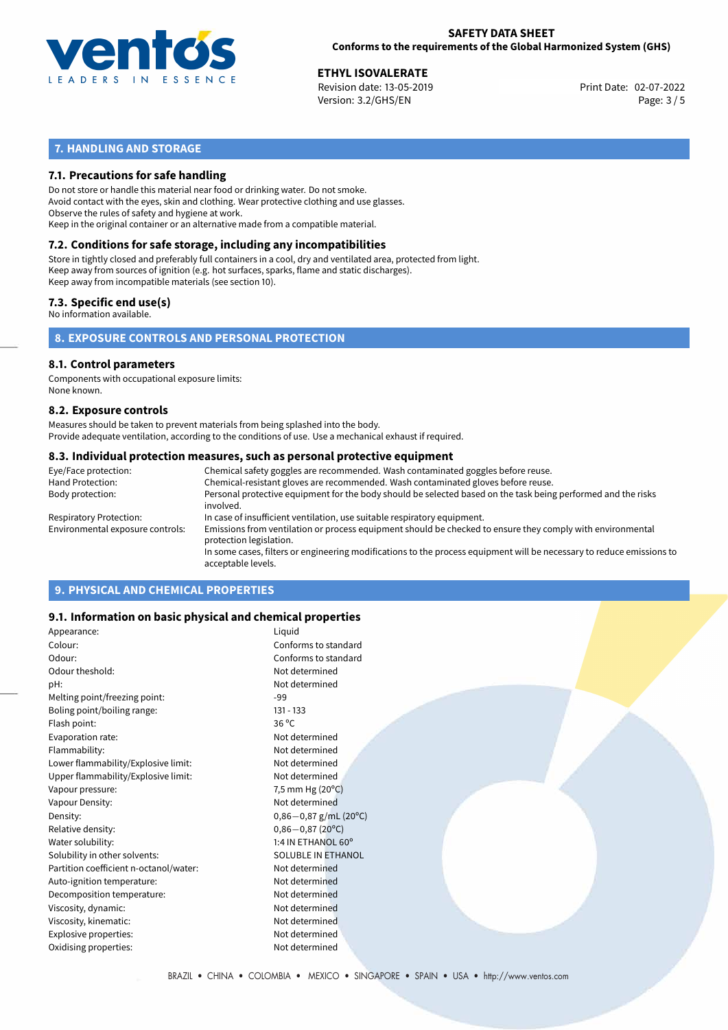

02-07-2022 **ETHYL ISOVALERATE** Revision date: 13-05-2019 Print Date: Version: 3.2/GHS/EN Page: 3 / 5

# **7. HANDLING AND STORAGE**

# **7.1. Precautions for safe handling**

Do not store or handle this material near food or drinking water. Do not smoke. Avoid contact with the eyes, skin and clothing. Wear protective clothing and use glasses. Observe the rules of safety and hygiene at work. Keep in the original container or an alternative made from a compatible material.

# **7.2. Conditions for safe storage, including any incompatibilities**

Store in tightly closed and preferably full containers in a cool, dry and ventilated area, protected from light. Keep away from sources of ignition (e.g. hot surfaces, sparks, flame and static discharges). Keep away from incompatible materials (see section 10).

# **7.3. Specific end use(s)**

No information available.

**8. EXPOSURE CONTROLS AND PERSONAL PROTECTION**

# **8.1. Control parameters**

Components with occupational exposure limits: None known.

## **8.2. Exposure controls**

Measures should be taken to prevent materials from being splashed into the body. Provide adequate ventilation, according to the conditions of use. Use a mechanical exhaust if required.

## **8.3. Individual protection measures, such as personal protective equipment**

| Eye/Face protection:             | Chemical safety goggles are recommended. Wash contaminated goggles before reuse.                                                            |
|----------------------------------|---------------------------------------------------------------------------------------------------------------------------------------------|
| Hand Protection:                 | Chemical-resistant gloves are recommended. Wash contaminated gloves before reuse.                                                           |
| Body protection:                 | Personal protective equipment for the body should be selected based on the task being performed and the risks<br>involved.                  |
| Respiratory Protection:          | In case of insufficient ventilation, use suitable respiratory equipment.                                                                    |
| Environmental exposure controls: | Emissions from ventilation or process equipment should be checked to ensure they comply with environmental<br>protection legislation.       |
|                                  | In some cases, filters or engineering modifications to the process equipment will be necessary to reduce emissions to<br>acceptable levels. |
|                                  |                                                                                                                                             |

# **9. PHYSICAL AND CHEMICAL PROPERTIES**

# **9.1. Information on basic physical and chemical properties**

| Appearance:                            | Liquid                    |
|----------------------------------------|---------------------------|
| Colour:                                | Conforms to standard      |
| Odour:                                 | Conforms to standard      |
| Odour theshold:                        | Not determined            |
| pH:                                    | Not determined            |
| Melting point/freezing point:          | -99                       |
| Boling point/boiling range:            | $131 - 133$               |
| Flash point:                           | $36^{\circ}$ C            |
| Evaporation rate:                      | Not determined            |
| Flammability:                          | Not determined            |
| Lower flammability/Explosive limit:    | Not determined            |
| Upper flammability/Explosive limit:    | Not determined            |
| Vapour pressure:                       | 7,5 mm Hg $(20^{\circ}C)$ |
| Vapour Density:                        | Not determined            |
| Density:                               | $0,86-0,87$ g/mL (20°C)   |
| Relative density:                      | $0,86 - 0,87$ (20°C)      |
| Water solubility:                      | 1:4 IN ETHANOL 60°        |
| Solubility in other solvents:          | SOLUBLE IN ETHANOL        |
| Partition coefficient n-octanol/water: | Not determined            |
| Auto-ignition temperature:             | Not determined            |
| Decomposition temperature:             | Not determined            |
| Viscosity, dynamic:                    | Not determined            |
| Viscosity, kinematic:                  | Not determined            |
| Explosive properties:                  | Not determined            |
| Oxidising properties:                  | Not determined            |
|                                        |                           |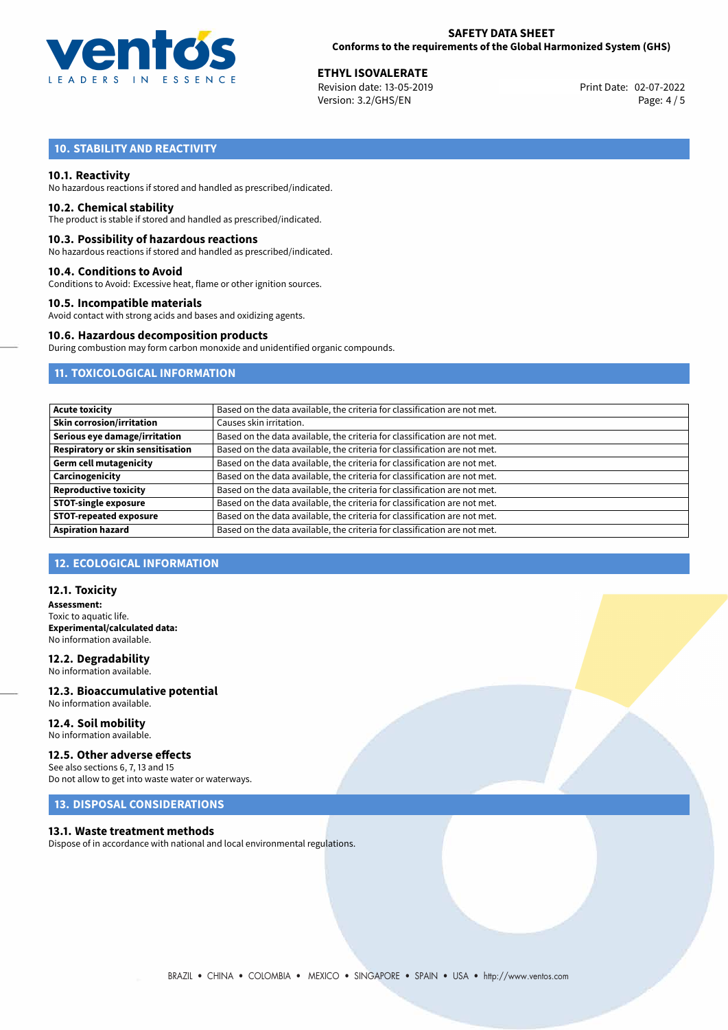

02-07-2022 **ETHYL ISOVALERATE** Revision date: 13-05-2019 Print Date: Version: 3.2/GHS/EN Page: 4 / 5

# **10. STABILITY AND REACTIVITY**

# **10.1. Reactivity**

No hazardous reactions if stored and handled as prescribed/indicated.

## **10.2. Chemical stability**

The product is stable if stored and handled as prescribed/indicated.

## **10.3. Possibility of hazardous reactions**

No hazardous reactions if stored and handled as prescribed/indicated.

## **10.4. Conditions to Avoid**

Conditions to Avoid: Excessive heat, flame or other ignition sources.

## **10.5. Incompatible materials**

Avoid contact with strong acids and bases and oxidizing agents.

# **10.6. Hazardous decomposition products**

During combustion may form carbon monoxide and unidentified organic compounds.

# **11. TOXICOLOGICAL INFORMATION**

| <b>Acute toxicity</b>             | Based on the data available, the criteria for classification are not met. |
|-----------------------------------|---------------------------------------------------------------------------|
| Skin corrosion/irritation         | Causes skin irritation.                                                   |
| Serious eye damage/irritation     | Based on the data available, the criteria for classification are not met. |
| Respiratory or skin sensitisation | Based on the data available, the criteria for classification are not met. |
| Germ cell mutagenicity            | Based on the data available, the criteria for classification are not met. |
| Carcinogenicity                   | Based on the data available, the criteria for classification are not met. |
| <b>Reproductive toxicity</b>      | Based on the data available, the criteria for classification are not met. |
| <b>STOT-single exposure</b>       | Based on the data available, the criteria for classification are not met. |
| <b>STOT-repeated exposure</b>     | Based on the data available, the criteria for classification are not met. |
| <b>Aspiration hazard</b>          | Based on the data available, the criteria for classification are not met. |

# **12. ECOLOGICAL INFORMATION**

# **12.1. Toxicity**

**Assessment:** Toxic to aquatic life. **Experimental/calculated data:** No information available.

## **12.2. Degradability** No information available.

**12.3. Bioaccumulative potential** No information available.

## **12.4. Soil mobility** No information available.

# **12.5. Other adverse effects**

See also sections 6, 7, 13 and 15 Do not allow to get into waste water or waterways.

# **13. DISPOSAL CONSIDERATIONS**

## **13.1. Waste treatment methods**

Dispose of in accordance with national and local environmental regulations.